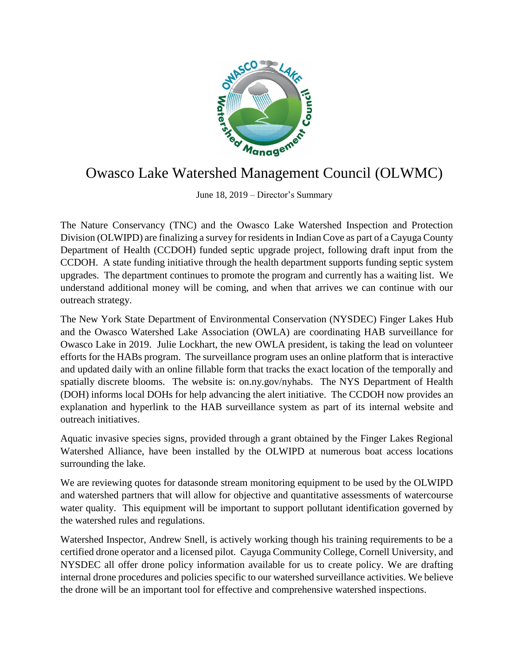

## Owasco Lake Watershed Management Council (OLWMC)

June 18, 2019 – Director's Summary

The Nature Conservancy (TNC) and the Owasco Lake Watershed Inspection and Protection Division (OLWIPD) are finalizing a survey for residents in Indian Cove as part of a Cayuga County Department of Health (CCDOH) funded septic upgrade project, following draft input from the CCDOH. A state funding initiative through the health department supports funding septic system upgrades. The department continues to promote the program and currently has a waiting list. We understand additional money will be coming, and when that arrives we can continue with our outreach strategy.

The New York State Department of Environmental Conservation (NYSDEC) Finger Lakes Hub and the Owasco Watershed Lake Association (OWLA) are coordinating HAB surveillance for Owasco Lake in 2019. Julie Lockhart, the new OWLA president, is taking the lead on volunteer efforts for the HABs program. The surveillance program uses an online platform that is interactive and updated daily with an online fillable form that tracks the exact location of the temporally and spatially discrete blooms. The website is: on.ny.gov/nyhabs. The NYS Department of Health (DOH) informs local DOHs for help advancing the alert initiative. The CCDOH now provides an explanation and hyperlink to the HAB surveillance system as part of its internal website and outreach initiatives.

Aquatic invasive species signs, provided through a grant obtained by the Finger Lakes Regional Watershed Alliance, have been installed by the OLWIPD at numerous boat access locations surrounding the lake.

We are reviewing quotes for datasonde stream monitoring equipment to be used by the OLWIPD and watershed partners that will allow for objective and quantitative assessments of watercourse water quality. This equipment will be important to support pollutant identification governed by the watershed rules and regulations.

Watershed Inspector, Andrew Snell, is actively working though his training requirements to be a certified drone operator and a licensed pilot. Cayuga Community College, Cornell University, and NYSDEC all offer drone policy information available for us to create policy. We are drafting internal drone procedures and policies specific to our watershed surveillance activities. We believe the drone will be an important tool for effective and comprehensive watershed inspections.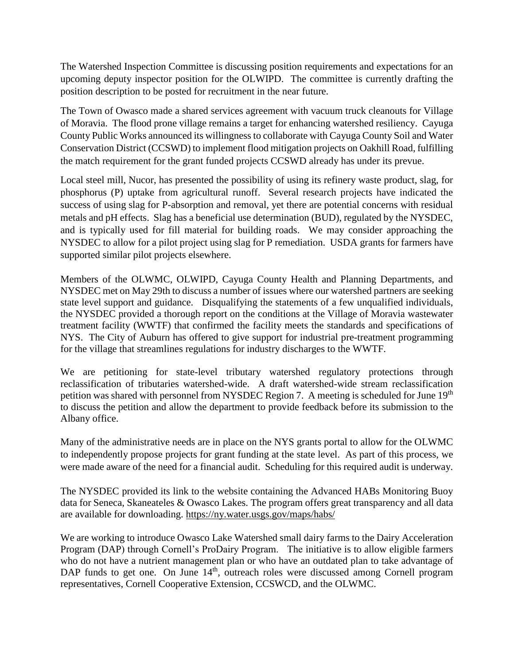The Watershed Inspection Committee is discussing position requirements and expectations for an upcoming deputy inspector position for the OLWIPD. The committee is currently drafting the position description to be posted for recruitment in the near future.

The Town of Owasco made a shared services agreement with vacuum truck cleanouts for Village of Moravia. The flood prone village remains a target for enhancing watershed resiliency. Cayuga County Public Works announced its willingness to collaborate with Cayuga County Soil and Water Conservation District (CCSWD) to implement flood mitigation projects on Oakhill Road, fulfilling the match requirement for the grant funded projects CCSWD already has under its prevue.

Local steel mill, Nucor, has presented the possibility of using its refinery waste product, slag, for phosphorus (P) uptake from agricultural runoff. Several research projects have indicated the success of using slag for P-absorption and removal, yet there are potential concerns with residual metals and pH effects. Slag has a beneficial use determination (BUD), regulated by the NYSDEC, and is typically used for fill material for building roads. We may consider approaching the NYSDEC to allow for a pilot project using slag for P remediation. USDA grants for farmers have supported similar pilot projects elsewhere.

Members of the OLWMC, OLWIPD, Cayuga County Health and Planning Departments, and NYSDEC met on May 29th to discuss a number of issues where our watershed partners are seeking state level support and guidance. Disqualifying the statements of a few unqualified individuals, the NYSDEC provided a thorough report on the conditions at the Village of Moravia wastewater treatment facility (WWTF) that confirmed the facility meets the standards and specifications of NYS. The City of Auburn has offered to give support for industrial pre-treatment programming for the village that streamlines regulations for industry discharges to the WWTF.

We are petitioning for state-level tributary watershed regulatory protections through reclassification of tributaries watershed-wide. A draft watershed-wide stream reclassification petition was shared with personnel from NYSDEC Region 7. A meeting is scheduled for June 19<sup>th</sup> to discuss the petition and allow the department to provide feedback before its submission to the Albany office.

Many of the administrative needs are in place on the NYS grants portal to allow for the OLWMC to independently propose projects for grant funding at the state level. As part of this process, we were made aware of the need for a financial audit. Scheduling for this required audit is underway.

The NYSDEC provided its link to the website containing the Advanced HABs Monitoring Buoy data for Seneca, Skaneateles & Owasco Lakes. The program offers great transparency and all data are available for downloading.<https://ny.water.usgs.gov/maps/habs/>

We are working to introduce Owasco Lake Watershed small dairy farms to the Dairy Acceleration Program (DAP) through Cornell's ProDairy Program. The initiative is to allow eligible farmers who do not have a nutrient management plan or who have an outdated plan to take advantage of DAP funds to get one. On June 14<sup>th</sup>, outreach roles were discussed among Cornell program representatives, Cornell Cooperative Extension, CCSWCD, and the OLWMC.